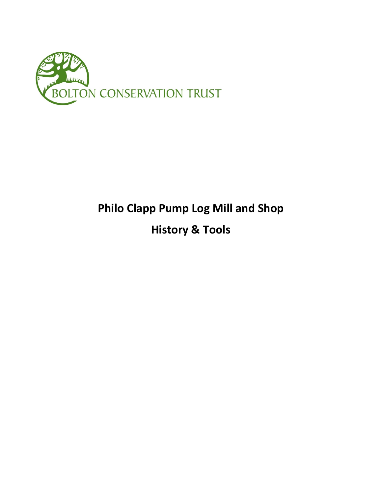

## **Philo Clapp Pump Log Mill and Shop History & Tools**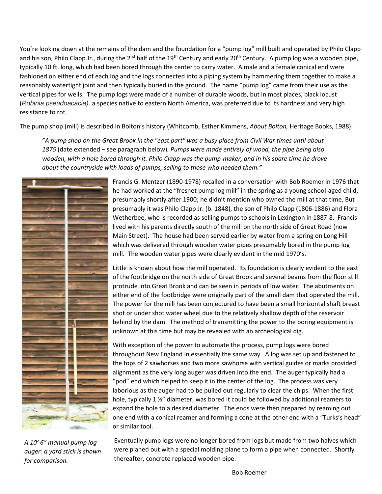You're looking down at the remains of the dam and the foundation for a "pump log" mill built and operated by Philo Clapp and his son, Philo Clapp Jr., during the  $2^{nd}$  half of the  $19^{th}$  Century and early  $20^{th}$  Century. A pump log was a wooden pipe, typically 10 ft. long, which had been bored through the center to carry water. A male and a female conical end were fashioned on either end of each log and the logs connected into a piping system by hammering them together to make a reasonably watertight joint and then typically buried in the ground. The name "pump log" came from their use as the vertical pipes for wells. The pump logs were made of a number of durable woods, but in most places, black locust (*Robinia pseudoacacia),* a species native to eastern North America, was preferred due to its hardness and very high resistance to rot.

The pump shop (mill) is described in Bolton's history (Whitcomb, Esther Kimmens, *About Bolton,* Heritage Books, 1988):

*"A pump shop on the Great Brook in the "east part" was a busy place from Civil War times until about 1875* (date extended – see paragraph below)*. Pumps were made entirely of wood, the pipe being also wooden, with a hole bored through it. Philo Clapp was the pump-maker, and in his spare time he drove about the countryside with loads of pumps, selling to those who needed them."*



*A 10' 6" manual pump log auger: a yard stick is shown for comparison.*

Francis G. Mentzer (1890-1978) recalled in a conversation with Bob Roemer in 1976 that he had worked at the "freshet pump log mill" in the spring as a young school-aged child, presumably shortly after 1900; he didn't mention who owned the mill at that time, But presumably it was Philo Clapp Jr. (b. 1848), the son of Philo Clapp (1806-1886) and Flora Wetherbee, who is recorded as selling pumps to schools in Lexington in 1887-8. Francis lived with his parents directly south of the mill on the north side of Great Road (now Main Street). The house had been served earlier by water from a spring on Long Hill which was delivered through wooden water pipes presumably bored in the pump log mill. The wooden water pipes were clearly evident in the mid 1970's.

Little is known about how the mill operated. Its foundation is clearly evident to the east of the footbridge on the north side of Great Brook and several beams from the floor still protrude into Great Brook and can be seen in periods of low water. The abutments on either end of the footbridge were originally part of the small dam that operated the mill. The power for the mill has been conjectured to have been a small horizontal shaft breast shot or under shot water wheel due to the relatively shallow depth of the reservoir behind by the dam. The method of transmitting the power to the boring equipment is unknown at this time but may be revealed with an archeological dig.

With exception of the power to automate the process, pump logs were bored throughout New England in essentially the same way. A log was set up and fastened to the tops of 2 sawhorses and two more sawhorse with vertical guides or marks provided alignment as the very long auger was driven into the end. The auger typically had a "pod" end which helped to keep it in the center of the log. The process was very laborious as the auger had to be pulled out regularly to clear the chips. When the first hole, typically 1  $\frac{1}{2}$  diameter, was bored it could be followed by additional reamers to expand the hole to a desired diameter. The ends were then prepared by reaming out one end with a conical reamer and forming a cone at the other end with a "Turks's head" or similar tool.

Eventually pump logs were no longer bored from logs but made from two halves which were planed out with a special molding plane to form a pipe when connected. Shortly thereafter, concrete replaced wooden pipe.